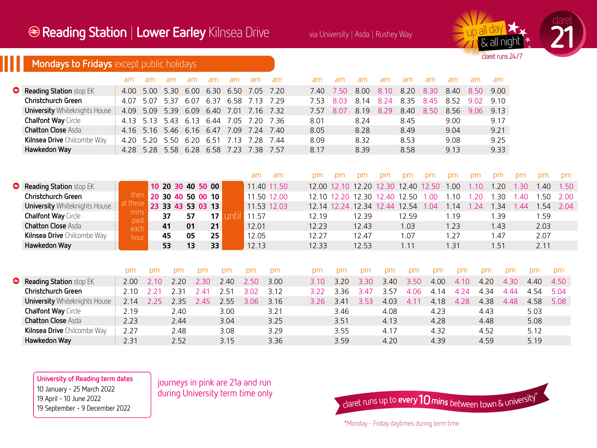

**Mondays to Fridays** except public holidays

|   |                                      | am               | am   | am                | am        | am              | am    | am    | am          | am          | am   | am          | am                            | am    | am    | am   | am   | am   |      |      |      |
|---|--------------------------------------|------------------|------|-------------------|-----------|-----------------|-------|-------|-------------|-------------|------|-------------|-------------------------------|-------|-------|------|------|------|------|------|------|
| ● | <b>Reading Station stop EK</b>       | 4.00             | 5.00 | 5.30              | 6.00      | 6.30            | 6.50  | 7.05  | 7.20        | 7.40        | 7.50 | 8.00        | 8.10                          | 8.20  | 8.30  | 8.40 | 8.50 | 9.00 |      |      |      |
|   | Christchurch Green                   | 4.07             | 5.07 | 5.37              | 6.07      | 6.37            | 6.58  | 7.13  | 7.29        | 7.53        | 8.03 | 8.14        | 8.24                          | 8.35  | 8.45  | 8.52 | 9.02 | 9.10 |      |      |      |
|   | <b>University</b> Whiteknights House | 4.09             | 5.09 | 5.39              | 6.09      | 6.40            | 7.01  | 7.16  | 7.32        | 7.57        | 8.07 | 8.19        | 8.29                          | 8.40  | 8.50  | 8.56 | 9.06 | 9.13 |      |      |      |
|   | <b>Chalfont Way Circle</b>           | 4.13             | 5.13 | 5.43              | 6.13      | 6.44            | 7.05  | 7.20  | 7.36        | 8.01        |      | 8.24        |                               | 8.45  |       | 9.00 |      | 9.17 |      |      |      |
|   | <b>Chatton Close Asda</b>            | 4.16             | 5.16 | 5.46              | 6.16      | 6.47            | 7.09  | 7.24  | 7.40        | 8.05        |      | 8.28        |                               | 8.49  |       | 9.04 |      | 9.21 |      |      |      |
|   | Kilnsea Drive Chilcombe Way          | 4.20             | 5.20 | 5.50              | 6.20      | 6.51            | 7.13  | 7.28  | 7.44        | 8.09        |      | 8.32        |                               | 8.53  |       | 9.08 |      | 9.25 |      |      |      |
|   | Hawkedon Way                         | 4.28             | 5.28 | 5.58              | 6.28 6.58 |                 | 7.23  | 7.38  | 7.57        | 8.17        |      | 8.39        |                               | 8.58  |       | 9.13 |      | 9.33 |      |      |      |
|   |                                      |                  |      |                   |           |                 |       |       |             |             |      |             |                               |       |       |      |      |      |      |      |      |
|   |                                      |                  |      |                   |           |                 |       |       |             |             |      |             |                               |       |       |      |      |      |      |      |      |
|   |                                      |                  |      |                   |           |                 |       | am    | am          | pm          | pm   | pm          | pm                            | pm    | pm    | pm   | pm   | pm   | pm   | pm   | pm   |
| ● | Reading Station stop EK              |                  |      | 10 20 30 40 50 00 |           |                 |       |       | 11.40 11.50 | 12.00       | 1210 | 12.20 12.30 |                               | 12.40 | 12.50 | 1.00 | 1.10 | 1.20 | 1.30 | 1.40 | 1.50 |
|   | Christchurch Green                   | then<br>at these |      | 20 30 40 50 00 10 |           |                 |       |       | 11.50 12.00 | 12.10 12.20 |      |             | 12.30 12.40 12.50             |       | .00   | 1.10 | .20  | 1.30 | .40  | 1.50 | 2.00 |
|   | <b>University</b> Whiteknights House | mins             |      | 23 33 43 53 03 13 |           |                 |       |       | 11.53 12.03 |             |      |             | 12.14 12.24 12.34 12.44 12.54 |       | .04   | 1.14 | 1.24 | 1.34 | 1.44 | 1.54 | 2.04 |
|   | <b>Chalfont Way</b> Circle           | past             |      | 37                | 57        | 17 <sup>1</sup> | until | 11.57 |             | 12.19       |      | 12.39       |                               | 12.59 |       | 1.19 |      | 1.39 |      | 1.59 |      |
|   | <b>Chatton Close Asda</b>            | each             |      | 41                | 01        | 21              |       | 12.01 |             | 12.23       |      | 12.43       |                               | 1.03  |       | 1.23 |      | 1.43 |      | 2.03 |      |
|   | Kilnsea Drive Chilcombe Way          | hour             |      | 45                | 05        | 25              |       | 12.05 |             | 12.27       |      | 12.47       |                               | 1.07  |       | 1.27 |      | 1.47 |      | 2.07 |      |
|   | Hawkedon Way                         |                  |      | 53                | 13        | 33              |       | 12.13 |             | 12.33       |      | 12.53       |                               | 1.11  |       | 1.31 |      | 1.51 |      | 2.11 |      |
|   |                                      |                  |      |                   |           |                 |       |       |             |             |      |             |                               |       |       |      |      |      |      |      |      |
|   |                                      | pm               | pm   | pm                | pm        |                 | pm    | pm    | pm          | pm          | pm   | pm          | pm                            | pm    | pm    | pm   | pm   |      | pm   | pm   | pm   |
| ● | Reading Station stop EK              | 2.00             | 2.10 | 2.20              | 2.30      |                 | 2.40  | 2.50  | 3.00        | 3.10        | 3.20 | 3.30        | 3.40                          | 3.50  | 4.00  | 4.10 | 4.20 |      | 4.30 | 4.40 | 4.50 |
|   | Christchurch Green                   | 2.10             | 2.21 | 2.31              | 2.41      |                 | 2.51  | 3.02  | 3.12        | 3.22        | 3.36 | 3.47        | 3.57                          | 4.06  | 4.14  | 4.24 | 4.34 |      | 4.44 | 4.54 | 5.04 |
|   | <b>University</b> Whiteknights House | 2.14             | 2.25 | 2.35              | 2.45      |                 | 2.55  | 3.06  | 3.16        | 3.26        | 3.41 | 3.53        | 4.03                          | 4.11  | 4.18  | 4.28 | 4.38 |      | 4.48 | 4.58 | 5.08 |
|   | <b>Chalfont Way Circle</b>           | 2.19             |      | 2.40              |           |                 | 3.00  |       | 3.21        |             | 3.46 |             | 4.08                          |       | 4.23  |      | 4.43 |      |      | 5.03 |      |
|   | <b>Chatton Close Asda</b>            | 2.23             |      | 2.44              |           |                 | 3.04  |       | 3.25        |             | 3.51 |             | 4.13                          |       | 4.28  |      | 4.48 |      |      | 5.08 |      |
|   | Kilnsea Drive Chilcombe Way          | 2.27             |      | 2.48              |           |                 | 3.08  |       | 3.29        |             | 3.55 |             | 4.17                          |       | 4.32  |      | 4.52 |      |      | 5.12 |      |
|   | Hawkedon Wav                         | 2.31             |      | 2.52              |           |                 | 3.15  |       | 3.36        |             | 3.59 |             | 4.20                          |       | 4.39  |      | 4.59 |      |      | 5.19 |      |

**University of Reading term dates** 10 January - 25 March 2022 19 April - 10 June 2022 19 September - 9 December 2022

#### journeys in pink are 21a and run during University term time only

<sup>c</sup>lare<sup>t</sup> <sup>r</sup>un<sup>s</sup> <sup>u</sup><sup>p</sup> <sup>t</sup><sup>o</sup> **<sup>e</sup>very10min<sup>s</sup>** <sup>b</sup>etwee<sup>n</sup> <sup>t</sup>own&university\*

\*Monday - Friday daytimes during term time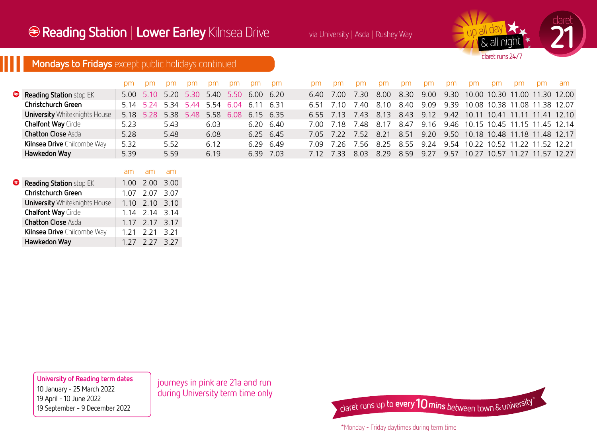

### **Mondays to Fridays** except public holidays continued

|                                      | om   | om        | DM                                      | om | pm.                           | pm. | <b>DIN</b> | .pm | pm      |       | om          | om   | DMI  | om   | DM   | om                                      | DIII | DM | рm                            | am |
|--------------------------------------|------|-----------|-----------------------------------------|----|-------------------------------|-----|------------|-----|---------|-------|-------------|------|------|------|------|-----------------------------------------|------|----|-------------------------------|----|
| <b>B</b> Reading Station stop EK     |      |           | 5.00 5.10 5.20 5.30 5.40 5.50 6.00 6.20 |    |                               |     |            |     | 640 700 |       | 7 30        | 8.00 | 8.30 | 9.00 |      | 9.30 10.00 10.30 11.00 11.30 12.00      |      |    |                               |    |
| Christchurch Green                   |      | 5.14 5.24 |                                         |    | 5.34 5.44 5.54 6.04 6.11 6.31 |     |            |     | 651 710 |       | 7 40        | 8.10 | 8.40 | 9.09 |      | 9.39 10.08 10.38 11.08 11.38 12.07      |      |    |                               |    |
| <b>University</b> Whiteknights House |      | 5.18 5.28 | 5.38 5.48 5.58 6.08 6.15 6.35           |    |                               |     |            |     | 655 713 |       | 743         | 8.13 | 843  | 9.12 |      | 9.42 10.11 10.41 11.11 11.41 12.10      |      |    |                               |    |
| <b>Chalfont Way Circle</b>           | 5.23 |           | 5.43                                    |    | 6.03                          |     | 6.20 6.40  |     | 700 718 |       | 7 48        | 8.17 | 8.47 | 9.16 |      | 9.46 10.15 10.45 11.15 11.45 12.14      |      |    |                               |    |
| <b>Chatton Close Asda</b>            | 5.28 |           | 5.48                                    |    | 6.08                          |     | 6.25 6.45  |     |         |       | 705 722 752 | 8.21 | 8.51 |      |      | 9.20 9.50 10.18 10.48 11.18 11.48 12.17 |      |    |                               |    |
| <b>Kilnsea Drive</b> Chilcombe Way   | 5.32 |           | 5.52                                    |    | 6.12                          |     | 6.29 6.49  |     | 7.09    | 76.   | 756         | 825  | 855  | 9.24 |      | 9.54 10.22 10.52 11.22 11.52 12.21      |      |    |                               |    |
| Hawkedon Way                         | 5.39 |           | 5.59                                    |    | 6.19                          |     | 6.39 7.03  |     |         | - 733 | 8.03        | 8.29 | 8.59 | 9.27 | 9.57 |                                         |      |    | 10.27 10.57 11.27 11.57 12.27 |    |

|   |                                      | am | am             | am |
|---|--------------------------------------|----|----------------|----|
| € | Reading Station stop EK              |    | 1.00 2.00 3.00 |    |
|   | Christchurch Green                   |    | 1.07 2.07 3.07 |    |
|   | <b>University</b> Whiteknights House |    | 1.10 2.10 3.10 |    |
|   | <b>Chalfont Way Circle</b>           |    | 1.14 2.14 3.14 |    |
|   | <b>Chatton Close Asda</b>            |    | 1.17 2.17 3.17 |    |
|   | <b>Kilnsea Drive</b> Chilcombe Way   |    | 1.21 2.21 3.21 |    |
|   | Hawkedon Way                         |    | 1.27 2.27 3.27 |    |

**University of Reading term dates** 10 January - 25 March 2022 19 April - 10 June 2022 19 September - 9 December 2022

journeys in pink are 21a and run during University term time only

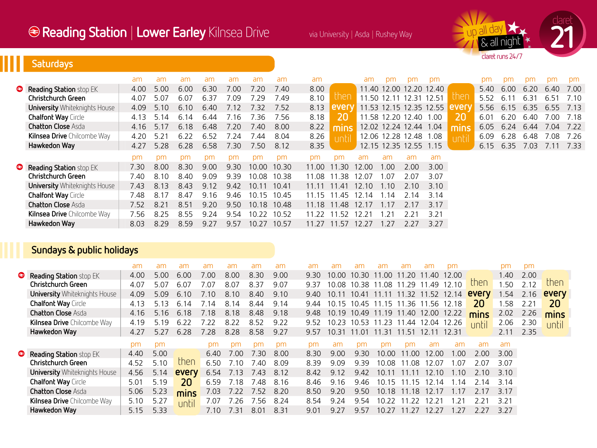# **Reading Station | Lower Earley** Kilnsea Drive via University | Asda | Rushey Way



# **Saturdays**

|                                      | am   | am   | am   | am   | am   | am          | am    | am          |       | am    | pm                | pm                      | pm   |       | рm   | pm   | pm             | ma   | pm   |
|--------------------------------------|------|------|------|------|------|-------------|-------|-------------|-------|-------|-------------------|-------------------------|------|-------|------|------|----------------|------|------|
| Reading Station stop EK              | 4.00 | 5.00 | 6.00 | 6.30 | 7.00 | 7.20        | 7.40  | 8.00        |       |       |                   | 11.40 12.00 12.20 12.40 |      |       | 5.40 | 6.00 | 6.20           | 6.40 | 7.00 |
| Christchurch Green                   | 4.07 | 5.07 | 6.07 | 6.37 | 7.09 | 7.29        | 7.49  | 8.10        | then  |       |                   | 11.50 12.11 12.31 12.51 |      | :her  | 5.52 | 6.11 | 6.31           | 6.51 | 7.10 |
| <b>University</b> Whiteknights House | 4.09 | 5.10 | 6.10 | 6.40 | 7.12 | 7.32        | 7.52  | 8.13        | everv |       |                   | 11.53 12.15 12.35 12.55 |      | ever  | 5.56 | 6.15 | 6.35 6.55 7.13 |      |      |
| <b>Chalfont Way Circle</b>           | 4.13 | 5.14 | 6.14 | 6.44 | 7.16 | 7.36        | 7.56  | 8.18        | 20    |       | 11.58 12.20 12.40 |                         | 1.00 | 20    | 6.01 | 6.20 | 6.40           | 7.00 | 7.18 |
| <b>Chatton Close Asda</b>            | 4.16 | 5.17 | 6.18 | 6.48 | 7.20 | 7.40        | 8.00  | 8.22        | mıns  |       |                   | 12.02 12.24 12.44       | 1.04 | mıns  | 6.05 | 6.24 | 6.44           | 7.04 | 7.22 |
| <b>Kilnsea Drive</b> Chilcombe Way   | 4.20 | 5.21 | 6.22 | 6.52 | 7.24 | 7.44        | 8.04  | 8.26        | untı  |       | 12.06 12.28 12.48 |                         | 1.08 | until | 6.09 | 6.28 | 6.48           | 7.08 | 7.26 |
| Hawkedon Way                         | 4.27 | 5.28 | 6.28 | 6.58 | 7.30 | 7.50        | 8.12  | 8.35        |       |       |                   | 12.15 12.35 12.55 1.15  |      |       | 6.15 | 6.35 | 7.03           |      | 7.33 |
|                                      | pm   | рm   | pm   | pm   | pm   | pm          | pm    | pm          | pm    | am    | am                | am                      | am   |       |      |      |                |      |      |
| Reading Station stop EK              | 7.30 | 8.00 | 8.30 | 9.00 | 9.30 | 10.00       | 10.30 | 11.00       | 11 30 | 12.00 | 1.00              | 2.00                    | 3.00 |       |      |      |                |      |      |
| Christchurch Green                   | 7.40 | 8.10 | 8.40 | 9.09 | 9.39 | 10.08       | 10.38 | 11.08       | 11.38 | 12.07 | I.O7              | 2.07                    | 3.07 |       |      |      |                |      |      |
| <b>University</b> Whiteknights House | 7.43 | 8.13 | 8.43 | 9.12 | 9.42 | 10.11       | 10.41 | 11.11       | 11 41 | 12.10 | 1.10              | 2.10                    | 3.10 |       |      |      |                |      |      |
| <b>Chalfont Way Circle</b>           | 7.48 | 8.17 | 8.47 | 9.16 | 9.46 | 10.15       | 10.45 | 11.15       | 11.45 | 12.14 | 1 14              | 2.14                    | 3.14 |       |      |      |                |      |      |
| <b>Chatton Close Asda</b>            | 7.52 | 8.21 | 8.51 | 9.20 | 9.50 | 10.18 10.48 |       | 11.18 11.48 |       | 12.17 | 1.17              | 2.17                    | 3.17 |       |      |      |                |      |      |
| Kilnsea Drive Chilcombe Way          | 7.56 | 8.25 | 8.55 | 9.24 | 9.54 | 10.22       | 10.52 | 11.22       | 11 52 | 2.21  | - 21              | 2.21                    | 3.21 |       |      |      |                |      |      |
| Hawkedon Wav                         | 8.03 | 8.29 | 8.59 | 9.27 | 9.57 | 10.27       | 10.57 | 11.27       | 11.57 | 12.27 | 1.27              | 2.27                    | 3.27 |       |      |      |                |      |      |

## **Sundays & public holidays**

|                                      | am   | am   | am    | am   | am   | am   | am   | am   | am    | am                | am                                  | am                | am    | pm    |       | рm   | pm   |       |
|--------------------------------------|------|------|-------|------|------|------|------|------|-------|-------------------|-------------------------------------|-------------------|-------|-------|-------|------|------|-------|
| Reading Station stop EK              | 4.00 | 5.00 | 6.00  | 7.00 | 8.00 | 8.30 | 9.00 | 9.30 | 10.00 | 10.30             | 11.00                               | .20               | .40   | 12.00 |       | 1.40 | 2.00 |       |
| Christchurch Green                   | 4.07 | 5.07 | 6.07  | 7.07 | 8.07 | 8.37 | 9.07 | 9.37 |       | 10.08 10.38 11.08 |                                     | 11 29             | 49    |       | then  | .50  | 212  | then  |
| <b>University</b> Whiteknights House | 4.09 | 5.09 | 6.10  | 7.10 | 8.10 | 8.40 | 9.10 | 9.40 |       | 10.11 10.41 11.11 |                                     | 11.32 11.52 12.14 |       |       | every | .54  | 2.16 | every |
| <b>Chalfont Way Circle</b>           | 4.13 | 513  | 6.14  | 7.14 | 8.14 | 8.44 | 9.14 | 9.44 |       |                   | 10.15 10.45 11.15 11.36 11.56 12.18 |                   |       |       | 20    | .58  | 2.21 | 20    |
| <b>Chatton Close Asda</b>            | 4.16 | 5.16 | 6.18  | 7.18 | 8.18 | 8.48 | 9.18 | 9.48 |       |                   | 10.19 10.49 11.19 11.40 12.00 12.22 |                   |       |       | mins  | 2.02 | 2.26 | mins  |
| Kilnsea Drive Chilcombe Way          | 4.19 | 5.19 | 6.22  | 7.22 | 8.22 | 8.52 | 9.22 | 9.52 |       |                   | 10.23 10.53 11.23 11.44 12.04 12.26 |                   |       |       | until | 2.06 | 2.30 | until |
| Hawkedon Way                         | 4.27 | 5.27 | 6.28  | 7.28 | 8.28 | 8.58 | 9.27 | 957  | 10.31 | 11.01 11.31       |                                     | 11.51             | 12.11 | 12 31 |       | 2.11 | 2.35 |       |
|                                      | pm   | pm   |       | pm   | pm   | pm   | pm   | pm   | am    | pm                | pm                                  | pm                | am    | am    | am    | am   |      |       |
| Reading Station stop EK              | 4.40 | 5.00 |       | 6.40 | 7.00 | 7.30 | 8.00 | 8.30 | 9.00  | 9.30              | 10.00                               | 11.00             | 12 NO | 1.00  | 2.00  | 3.00 |      |       |
| Christchurch Green                   | 4.52 | 5.10 | then  | 650  | 10 י | 7.40 | 8.09 | 8.39 | 9.09  | 9.39              | 10.08                               | 11.08             | 12 OZ | 1.07  | 2.07  | 3.07 |      |       |
| <b>University</b> Whiteknights House | 4.56 | 5.14 | every | 6.54 | 7.13 | 7.43 | 8.12 | 8.42 | 9.12  | 9.42              | 10.11                               | 11 11             | 12.10 | 1.10  | 2.10  | 3.10 |      |       |
| <b>Chalfont Way Circle</b>           | 5.01 | 5.19 | 20    | 6.59 | 7.18 | 7.48 | 8.16 | 8.46 | 9.16  | 946               | 10.15                               | 15<br>11          | 12.14 | -14   | 2 14  | 3.14 |      |       |
| <b>Chatton Close Asda</b>            | 5.06 | 5.23 | mins  | 7.03 | 7.22 | 7.52 | 8.20 | 8.50 | 9.20  | 9.50              | 10.18                               | 11.18             | 12.17 | 1.17  |       | 3.17 |      |       |
| <b>Kilnsea Drive</b> Chilcombe Way   | 5.10 | 5.27 | until | 7.07 | 7.26 | 7.56 | 8.24 | 8.54 | 9.24  | 9.54              | 10.22                               | 11.22             | 12.21 | 1.21  | 2.21  | 3.21 |      |       |
| Hawkedon Way                         | 5.15 | 5.33 |       | 7.10 | 7.31 | 8.01 | 8.31 | 9.01 | 9 2 7 | 957               | 10.27                               | 11 27             | 12.27 | 1.27  | 2.27  | 3.27 |      |       |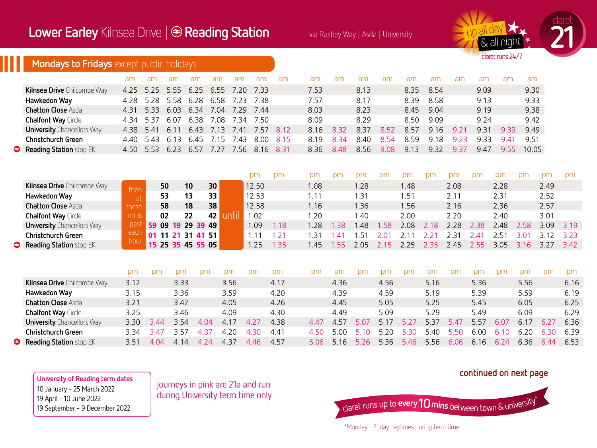# **Lower Earley** Kilnsea Drive |  $\bigcirc$  **Reading Station** via Rushey Way | Asda | University



**Mondays to Fridays** except public holidays

|                                    | am    | am      | am                       | am   | am   | am    | am    | am          | am   | am   | am   | am   | am    | am   | am   | am   | am  | am    |
|------------------------------------|-------|---------|--------------------------|------|------|-------|-------|-------------|------|------|------|------|-------|------|------|------|-----|-------|
| <b>Kilnsea Drive</b> Chilcombe Way |       |         | 4.25 5.25 5.55 6.25 6.55 |      |      | 7.20  | - 733 |             | 7.53 |      | 8.13 |      | 8.35  | 8.54 |      | 9.09 |     | 9.30  |
| Hawkedon Way                       | 4 28. | 528     | 5.58                     | 6.28 | 6.58 | 7 23  | 738   |             | 7.57 |      | 8.17 |      | 8.39  | 8.58 |      | 9.13 |     | 9.33  |
| <b>Chatton Close Asda</b>          | 4 31  | 533     | 6.03                     | 634  | 7.04 | 7 2 9 | 7 44  |             | 8.03 |      | 8.23 |      | 845   | 9.04 |      | 9.19 |     | 9.38  |
| <b>Chalfont Way Circle</b>         |       | 434 537 | 6.07                     | 6.38 | 7.08 | 7 34  | 750   |             | 8.09 |      | 8.29 |      | 8.50  | 9.09 |      | 9.24 |     | 9.42  |
| <b>University</b> Chancellors Way  | 438   | -5.41   | 6 1 1                    | 6.43 | 713  | 7 41  | 757   | 8.12        | 8.16 | 8.32 | 837  | 8.52 | 8.57  | 9.16 | 9.21 | 9 31 | 939 | 949   |
| Christchurch Green                 | 4.40  | -5.43   | 6.13                     | 645  | '15  | 43 ז  | 8.00  | 8 15        | 8.19 | 8.34 | 8.40 | 8.54 | 8.59  | 9.18 | 9.23 | 933  | 941 | 951   |
| Reading Station stop EK            | 4.50  | 553     | 623                      | 657  | 7 27 | 7 56. | 8.16  | <b>R</b> 31 | 836  | 848  | 8.56 | 9.08 | 9 1 3 | 9.32 | 9.37 | 947  |     | 10.05 |

|                                    |                 |                   |    |    | pm    | pm   | pm   | рm  | pm   | pη  | pm    | nn | рm   | nm  | om   |      | рm   | pm      |
|------------------------------------|-----------------|-------------------|----|----|-------|------|------|-----|------|-----|-------|----|------|-----|------|------|------|---------|
| <b>Kilnsea Drive</b> Chilcombe Way | then            | 50                | 10 | 30 | 12.50 |      | 0.08 |     | 1.28 |     | 1.48  |    | 2.08 |     | 2.28 |      | 2.49 |         |
| Hawkedon Way                       |                 | 53                | 13 | 33 | 12.53 |      |      |     | .31  |     | 1.51  |    | 2.11 |     | 2.31 |      | 2.52 |         |
| <b>Chatton Close Asda</b>          | :hese           | 58                | 18 | 38 | 12.58 |      | 1.16 |     | 1.36 |     | 1.56  |    | 2.16 |     | 2.36 |      | 2.57 |         |
| <b>Chalfont Way Circle</b>         | mıns            | 02                | 22 | 42 | .02   |      | . 20 |     | .40  |     | 2.00  |    | 2.20 |     | 2.40 |      | 3.01 |         |
| <b>University</b> Chancellors Way  | D <sub>as</sub> | 59 09 19 29 39 49 |    |    | .09   | .18  | 28   | -38 | 48   | -58 | 2 U S |    | 2 28 | -38 | 248  | 2 58 | 3.09 | $-3.19$ |
| Christchurch Green                 | eac             | 01 11 21 31 41 51 |    |    |       |      |      |     | 5    |     |       |    |      |     | 5    |      |      | 3.23    |
| <b>Reading Station stop EK</b>     | hou             | 15 25 35 45 55 05 |    |    | .25   | - 35 | 45   |     | ገ በ5 |     | っち    |    | 45   |     | 3.05 | 3.16 |      | 3.42    |

|                                    | рm   | pm   | DM   | DIT  | рm    | <b>DITI</b> | pm   | рm   | pm   | pm | DM   | DM    | ЭĦ   | DM    | DM   | рm   | рm    | рm   | pm   |
|------------------------------------|------|------|------|------|-------|-------------|------|------|------|----|------|-------|------|-------|------|------|-------|------|------|
| <b>Kilnsea Drive</b> Chilcombe Way | 3.12 |      | 3.33 |      | 3.56  |             | 4.17 |      | 4.36 |    | 4.56 |       | 5.16 |       | 5.36 |      | 5.56  |      | 6.16 |
| Hawkedon Way                       | 3.15 |      | 3.36 |      | 3.59  |             | 4.20 |      | 4.39 |    | 4.59 |       | 5.19 |       | 5.39 |      | 5.59  |      | 6.19 |
| <b>Chatton Close Asda</b>          | 3.21 |      | 3.42 |      | 4.05  |             | 4.26 |      | 4.45 |    | 5.05 |       | 5.25 |       | 5.45 |      | 6.05  |      | 6.25 |
| <b>Chalfont Way Circle</b>         | 3.25 |      | 3.46 |      | 4.09  |             | 4.30 |      | 4.49 |    | 5.09 |       | 5.29 |       | 5.49 |      | 6.09  |      | 6.29 |
| <b>University</b> Chancellors Way  | 3.30 | 3 AA | 3.54 | 4.04 | 4 1 7 |             | 438  | 4 47 | 4.57 |    |      |       | 537  | 54,   | 5.57 | 6.07 | 6 1 7 | 6.27 | 6.36 |
| Christchurch Green                 | 3 34 |      | 3.57 | 4 N  | 4.20  | ี 4 วิ      | 4.41 | 4 50 | 5 OO |    | 5.20 | -5.30 | 5.40 | -5.50 | 6.00 |      | 6.20  | 630. | 639  |
| Reading Station stop EK            | 351  |      |      |      | 437   | 4 46        | 4.57 |      |      |    | -36  | 5 4h  | 5 56 | 606   | 6.16 | h/4  | 636   |      | 653  |

**University of Reading term dates** 10 January - 25 March 2022 19 April - 10 June 2022 19 September - 9 December 2022

journeys in pink are 21a and run during University term time only

#### **continued on next page**

<sup>c</sup>lare<sup>t</sup> <sup>r</sup>un<sup>s</sup> <sup>u</sup><sup>p</sup> <sup>t</sup><sup>o</sup> **<sup>e</sup>very10min<sup>s</sup>** <sup>b</sup>etwee<sup>n</sup> <sup>t</sup>own&university\*

\*Monday - Friday daytimes during term time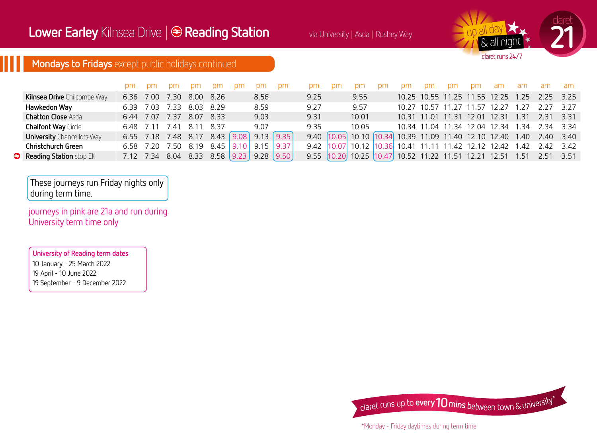

#### **Mondays to Fridays** except public holidays continued

|                                    | рm        | рm        | om    | DM        | DIII       | рm       | pm            | m        | рm               | pn | рm    | рm            | рm |       |                               | am                                           | am   | am        | am      |
|------------------------------------|-----------|-----------|-------|-----------|------------|----------|---------------|----------|------------------|----|-------|---------------|----|-------|-------------------------------|----------------------------------------------|------|-----------|---------|
| <b>Kilnsea Drive</b> Chilcombe Way |           | 6.36 7.00 | 7.30  | 8.00 8.26 |            |          | 8.56          |          | 9.25             |    | 9.55  |               |    |       |                               | 10.25 10.55 11.25 11.55 12.25 1.25 2.25 3.25 |      |           |         |
| Hawkedon Way                       | 639       | 7.03      | 7.33  | 8.03 8.29 |            |          | 8.59          |          | 9.27             |    | 9.57  |               |    |       | 10.27 10.57 11.27 11.57 12.27 |                                              | 1 27 |           | 227 327 |
| <b>Chatton Close Asda</b>          | 6.44 7.07 |           | 7.37  | 8.07 8.33 |            |          | 9.03          |          | 9.31             |    | 10.01 |               |    |       | 10.31 11.01 11.31 12.01       | 12 31                                        | 1 31 | 2 31 3 31 |         |
| <b>Chalfont Way Circle</b>         | 6.48      |           | 7 41  | 8.11      | <b>837</b> |          | 9.07          |          | 9.35             |    | 10.05 |               |    |       |                               | 10.34 11.04 11.34 12.04 12.34                | 1 34 | 234334    |         |
| <b>University</b> Chancellors Way  |           | 6.55 7.18 | 7.48  | 8.17      | 8.43       | 9.08     | $9.13$ (9.35) |          | 9.40             |    | 10.10 | 1034          |    |       |                               | 10.39 11.09 11.40 12.10 12.40 1.40 2.40 3.40 |      |           |         |
| Christchurch Green                 | 6.58 7.20 |           | 7 50. | 8.19      | 845        | . 9. 1O. | $9.15$   9.37 |          | 9.42             |    | 10.12 | $10.36$ 10.41 |    | 11 11 |                               | 11.42 12.12 12.42 1.42 2.42 3.42             |      |           |         |
| Reading Station stop EK            | 7.12 7.34 |           | 8.04  | 8.33      | 8.58       |          | 9.28          | l 9.50 l | $9.55$ $ 10.20 $ |    | 10.25 | [10.47]       |    |       | 10.52 11.22 11.51 12.21       | 12.51                                        | 1.51 | 2.51      | 3.51    |

These journeys run Friday nights only during term time.

journeys in pink are 21a and run during University term time only

**University of Reading term dates** 10 January - 25 March 2022 19 April - 10 June 2022 19 September - 9 December 2022

<sup>c</sup>lare<sup>t</sup> <sup>r</sup>un<sup>s</sup> <sup>u</sup><sup>p</sup> <sup>t</sup><sup>o</sup> **<sup>e</sup>very10min<sup>s</sup>** <sup>b</sup>etwee<sup>n</sup> <sup>t</sup>own&university\*